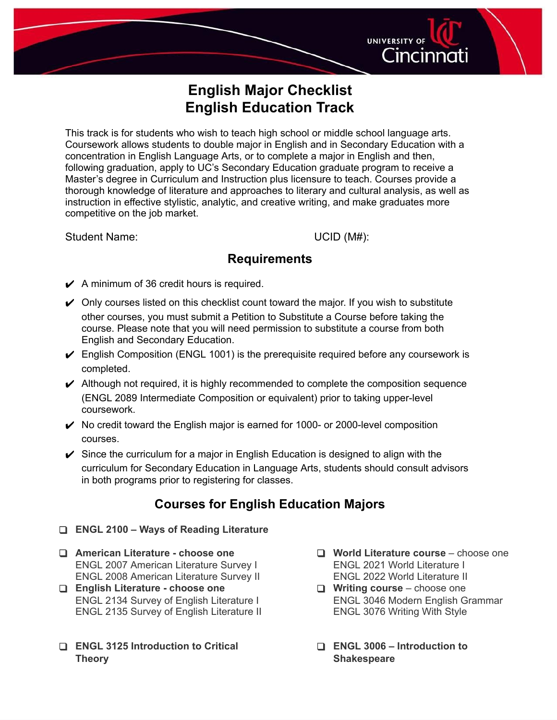# Cincinnati **English Major Checklist**

**English Education Track**

This track is for students who wish to teach high school or middle school language arts. Coursework allows students to double major in English and in Secondary Education with a concentration in English Language Arts, or to complete a major in English and then, following graduation, apply to UC's Secondary Education graduate program to receive a Master's degree in Curriculum and Instruction plus licensure to teach. Courses provide a thorough knowledge of literature and approaches to literary and cultural analysis, as well as instruction in effective stylistic, analytic, and creative writing, and make graduates more competitive on the job market.

Student Name: UCID (M#):

**UNIVERSITY OF** 

## **Requirements**

- $\swarrow$  A minimum of 36 credit hours is required.
- $\triangleright$  Only courses listed on this checklist count toward the major. If you wish to substitute other courses, you must submit a Petition to Substitute a Course before taking the course. Please note that you will need permission to substitute a course from both English and Secondary Education.
- $\triangleright$  English Composition (ENGL 1001) is the prerequisite required before any coursework is completed.
- $\blacktriangleright$  Although not required, it is highly recommended to complete the composition sequence (ENGL 2089 Intermediate Composition or equivalent) prior to taking upper-level coursework.
- $\vee$  No credit toward the English major is earned for 1000- or 2000-level composition courses.
- $\checkmark$  Since the curriculum for a major in English Education is designed to align with the curriculum for Secondary Education in Language Arts, students should consult advisors in both programs prior to registering for classes.

## **Courses for English Education Majors**

- ❑ **ENGL 2100 – Ways of Reading Literature**
- ❑ **American Literature - choose one** ENGL 2007 American Literature Survey I ENGL 2008 American Literature Survey II
- ❑ **English Literature - choose one** ENGL 2134 Survey of English Literature I ENGL 2135 Survey of English Literature II
- ❑ **ENGL 3125 Introduction to Critical Theory**
- ❑ **World Literature course** choose one ENGL 2021 World Literature I ENGL 2022 World Literature II
- ❑ **Writing course** choose one ENGL 3046 Modern English Grammar ENGL 3076 Writing With Style
- ❑ **ENGL 3006 – Introduction to Shakespeare**